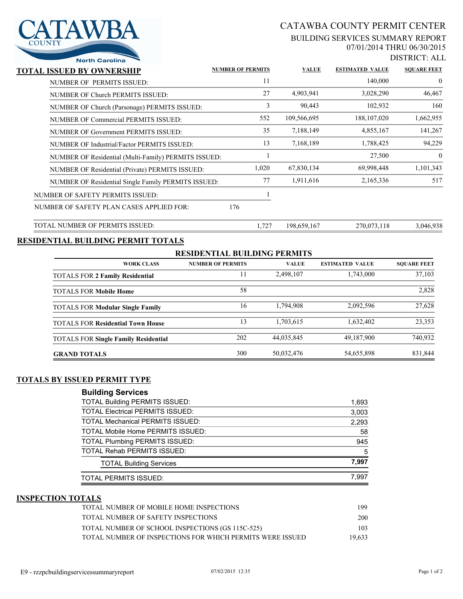# CATAWBA COUNTY PERMIT CENTER

### BUILDING SERVICES SUMMARY REPORT 07/01/2014 THRU 06/30/2015

DISTRICT: ALL

| <b>North Carolina</b>                                |                          |              |                        | DISTRICT: ALI      |
|------------------------------------------------------|--------------------------|--------------|------------------------|--------------------|
| <b>TOTAL ISSUED BY OWNERSHIP</b>                     | <b>NUMBER OF PERMITS</b> | <b>VALUE</b> | <b>ESTIMATED VALUE</b> | <b>SQUARE FEET</b> |
| NUMBER OF PERMITS ISSUED:                            | 11                       |              | 140,000                | $\theta$           |
| NUMBER OF Church PERMITS ISSUED:                     | 27                       | 4,903,941    | 3,028,290              | 46,467             |
| NUMBER OF Church (Parsonage) PERMITS ISSUED:         | 3                        | 90,443       | 102,932                | 160                |
| NUMBER OF Commercial PERMITS ISSUED:                 | 552                      | 109,566,695  | 188, 107, 020          | 1,662,955          |
| NUMBER OF Government PERMITS ISSUED:                 | 35                       | 7,188,149    | 4,855,167              | 141,267            |
| NUMBER OF Industrial/Factor PERMITS ISSUED:          | 13                       | 7,168,189    | 1,788,425              | 94,229             |
| NUMBER OF Residential (Multi-Family) PERMITS ISSUED: |                          |              | 27,500                 | $\mathbf{0}$       |
| NUMBER OF Residential (Private) PERMITS ISSUED:      | 1,020                    | 67,830,134   | 69,998,448             | 1,101,343          |
| NUMBER OF Residential Single Family PERMITS ISSUED:  | 77                       | 1,911,616    | 2,165,336              | 517                |
| NUMBER OF SAFETY PERMITS ISSUED:                     |                          |              |                        |                    |
| NUMBER OF SAFETY PLAN CASES APPLIED FOR:             | 176                      |              |                        |                    |
| TOTAL NUMBER OF PERMITS ISSUED:                      | 1,727                    | 198,659,167  | 270,073,118            | 3,046,938          |

# **RESIDENTIAL BUILDING PERMIT TOTALS**

AWBA

### **RESIDENTIAL BUILDING PERMITS**

| <b>WORK CLASS</b>                           | <b>NUMBER OF PERMITS</b> | <b>VALUE</b> | <b>ESTIMATED VALUE</b> | <b>SOUARE FEET</b> |
|---------------------------------------------|--------------------------|--------------|------------------------|--------------------|
| <b>TOTALS FOR 2 Family Residential</b>      |                          | 2,498,107    | 1,743,000              | 37,103             |
| <b>TOTALS FOR Mobile Home</b>               | 58                       |              |                        | 2,828              |
| <b>TOTALS FOR Modular Single Family</b>     | 16                       | 1,794,908    | 2,092,596              | 27,628             |
| <b>TOTALS FOR Residential Town House</b>    | 13                       | 1,703,615    | 1,632,402              | 23,353             |
| <b>TOTALS FOR Single Family Residential</b> | 202                      | 44,035,845   | 49,187,900             | 740,932            |
| <b>GRAND TOTALS</b>                         | 300                      | 50,032,476   | 54,655,898             | 831,844            |

# **TOTALS BY ISSUED PERMIT TYPE**

### **Building Services**

| <b>TOTAL Building PERMITS ISSUED:</b>   | 1,693 |
|-----------------------------------------|-------|
| <b>TOTAL Electrical PERMITS ISSUED:</b> | 3,003 |
| <b>TOTAL Mechanical PERMITS ISSUED:</b> | 2,293 |
| TOTAL Mobile Home PERMITS ISSUED:       | 58    |
| <b>TOTAL Plumbing PERMITS ISSUED:</b>   | 945   |
| <b>TOTAL Rehab PERMITS ISSUED:</b>      | 5     |
| <b>TOTAL Building Services</b>          | 7.997 |
| TOTAL PERMITS ISSUED:                   | 7.997 |

#### **INSPECTION TOTALS**

| TOTAL NUMBER OF MOBILE HOME INSPECTIONS                   | 199    |
|-----------------------------------------------------------|--------|
| TOTAL NUMBER OF SAFETY INSPECTIONS                        | 200    |
| TOTAL NUMBER OF SCHOOL INSPECTIONS (GS 115C-525)          | 103    |
| TOTAL NUMBER OF INSPECTIONS FOR WHICH PERMITS WERE ISSUED | 19,633 |